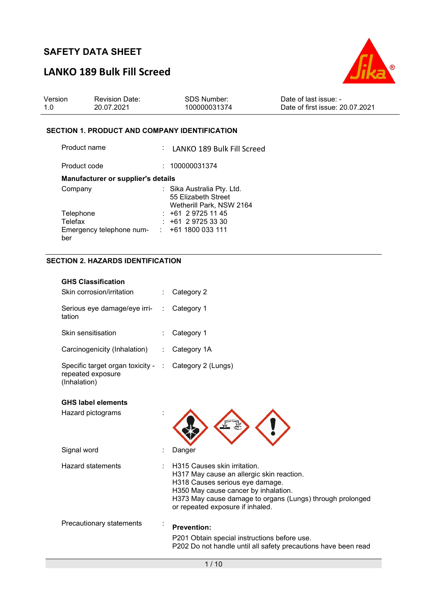# LANKO 189 Bulk Fill Screed



| Version | <b>Revision Date:</b> | SDS Number:  | Date of last issue: -           |
|---------|-----------------------|--------------|---------------------------------|
| 1.0     | 20.07.2021            | 100000031374 | Date of first issue: 20.07.2021 |

#### SECTION 1. PRODUCT AND COMPANY IDENTIFICATION

| Product name                       | : LANKO 189 Bulk Fill Screed                                                  |
|------------------------------------|-------------------------------------------------------------------------------|
| Product code                       | 100000031374                                                                  |
| Manufacturer or supplier's details |                                                                               |
| Company                            | : Sika Australia Pty. Ltd.<br>55 Elizabeth Street<br>Wetherill Park, NSW 2164 |
| Telephone                          | $: +61297251145$                                                              |
| Telefax                            | $: +61297253330$                                                              |
| Emergency telephone num-<br>ber    | : 1611800033111                                                               |

## SECTION 2. HAZARDS IDENTIFICATION

| <b>GHS Classification</b>                                               |                      |                                                                                                                                                                                                                                                       |
|-------------------------------------------------------------------------|----------------------|-------------------------------------------------------------------------------------------------------------------------------------------------------------------------------------------------------------------------------------------------------|
| Skin corrosion/irritation                                               |                      | Category 2                                                                                                                                                                                                                                            |
| Serious eye damage/eye irri-<br>tation                                  | $\ddot{\phantom{a}}$ | Category 1                                                                                                                                                                                                                                            |
| Skin sensitisation                                                      |                      | Category 1                                                                                                                                                                                                                                            |
| Carcinogenicity (Inhalation)                                            |                      | Category 1A                                                                                                                                                                                                                                           |
| Specific target organ toxicity - :<br>repeated exposure<br>(Inhalation) |                      | Category 2 (Lungs)                                                                                                                                                                                                                                    |
| <b>GHS label elements</b><br>Hazard pictograms                          |                      |                                                                                                                                                                                                                                                       |
| Signal word                                                             |                      | Danger                                                                                                                                                                                                                                                |
| <b>Hazard statements</b>                                                |                      | H315 Causes skin irritation.<br>H317 May cause an allergic skin reaction.<br>H318 Causes serious eye damage.<br>H350 May cause cancer by inhalation.<br>H373 May cause damage to organs (Lungs) through prolonged<br>or repeated exposure if inhaled. |
| Precautionary statements                                                |                      | <b>Prevention:</b><br>P201 Obtain special instructions before use.<br>P202 Do not handle until all safety precautions have been read                                                                                                                  |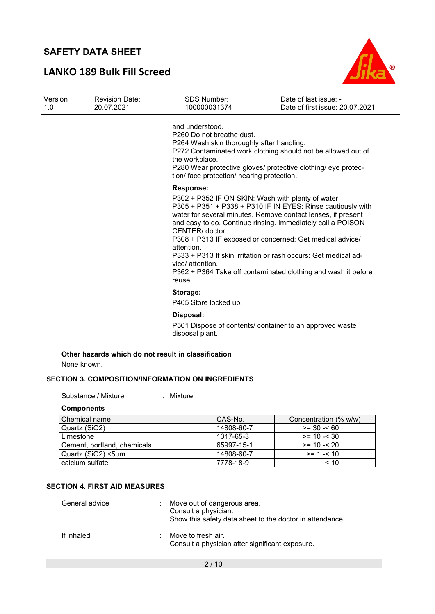## LANKO 189 Bulk Fill Screed



| Version<br>1.0 | <b>Revision Date:</b><br>20.07.2021 | <b>SDS Number:</b><br>100000031374                                                                                                                        | Date of last issue: -<br>Date of first issue: 20.07.2021                                                                                                                                                                                                                                                                                                                                                                                        |
|----------------|-------------------------------------|-----------------------------------------------------------------------------------------------------------------------------------------------------------|-------------------------------------------------------------------------------------------------------------------------------------------------------------------------------------------------------------------------------------------------------------------------------------------------------------------------------------------------------------------------------------------------------------------------------------------------|
|                |                                     | and understood.<br>P260 Do not breathe dust.<br>P264 Wash skin thoroughly after handling.<br>the workplace.<br>tion/ face protection/ hearing protection. | P272 Contaminated work clothing should not be allowed out of<br>P280 Wear protective gloves/ protective clothing/ eye protec-                                                                                                                                                                                                                                                                                                                   |
|                |                                     | <b>Response:</b><br>CENTER/ doctor.<br>attention.<br>vice/ attention.<br>reuse.                                                                           | P302 + P352 IF ON SKIN: Wash with plenty of water.<br>P305 + P351 + P338 + P310 IF IN EYES: Rinse cautiously with<br>water for several minutes. Remove contact lenses, if present<br>and easy to do. Continue rinsing. Immediately call a POISON<br>P308 + P313 IF exposed or concerned: Get medical advice/<br>P333 + P313 If skin irritation or rash occurs: Get medical ad-<br>P362 + P364 Take off contaminated clothing and wash it before |
|                |                                     | Storage:<br>P405 Store locked up.                                                                                                                         |                                                                                                                                                                                                                                                                                                                                                                                                                                                 |
|                |                                     | Disposal:<br>disposal plant.                                                                                                                              | P501 Dispose of contents/ container to an approved waste                                                                                                                                                                                                                                                                                                                                                                                        |
| None known.    |                                     | Other hazards which do not result in classification                                                                                                       |                                                                                                                                                                                                                                                                                                                                                                                                                                                 |

### SECTION 3. COMPOSITION/INFORMATION ON INGREDIENTS

Substance / Mixture : Mixture

#### Components

| Chemical name               | CAS-No.    | Concentration (% w/w) |
|-----------------------------|------------|-----------------------|
| Quartz (SiO2)               | 14808-60-7 | $>= 30 - 60$          |
| Limestone                   | 1317-65-3  | $>= 10 - 30$          |
| Cement, portland, chemicals | 65997-15-1 | $>= 10 - 20$          |
| Quartz (SiO2) <5µm          | 14808-60-7 | $>= 1 - 1.10$         |
| calcium sulfate             | 7778-18-9  | ~10                   |

### SECTION 4. FIRST AID MEASURES

| General advice | Move out of dangerous area.<br>Consult a physician.<br>Show this safety data sheet to the doctor in attendance. |
|----------------|-----------------------------------------------------------------------------------------------------------------|
| If inhaled     | Move to fresh air.<br>Consult a physician after significant exposure.                                           |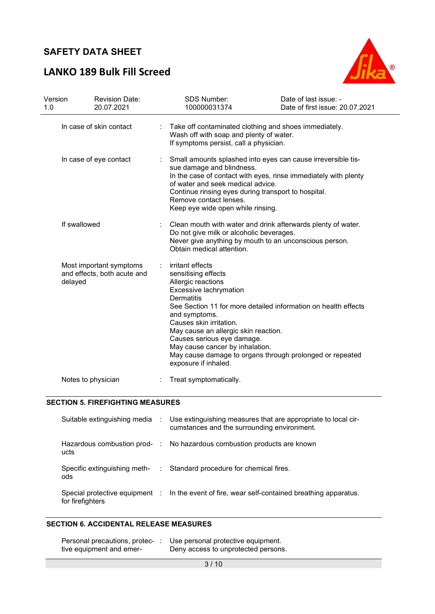# LANKO 189 Bulk Fill Screed



| Version<br>1.0 | <b>Revision Date:</b><br>20.07.2021                               |   | <b>SDS Number:</b><br>100000031374                                                                                                                                                                                                                                                                                                                                                                                      | Date of last issue: -<br>Date of first issue: 20.07.2021 |
|----------------|-------------------------------------------------------------------|---|-------------------------------------------------------------------------------------------------------------------------------------------------------------------------------------------------------------------------------------------------------------------------------------------------------------------------------------------------------------------------------------------------------------------------|----------------------------------------------------------|
|                | In case of skin contact                                           |   | Take off contaminated clothing and shoes immediately.<br>Wash off with soap and plenty of water.<br>If symptoms persist, call a physician.                                                                                                                                                                                                                                                                              |                                                          |
|                | In case of eye contact                                            |   | Small amounts splashed into eyes can cause irreversible tis-<br>sue damage and blindness.<br>In the case of contact with eyes, rinse immediately with plenty<br>of water and seek medical advice.<br>Continue rinsing eyes during transport to hospital.<br>Remove contact lenses.<br>Keep eye wide open while rinsing.                                                                                                 |                                                          |
|                | If swallowed                                                      | ÷ | Clean mouth with water and drink afterwards plenty of water.<br>Do not give milk or alcoholic beverages.<br>Never give anything by mouth to an unconscious person.<br>Obtain medical attention.                                                                                                                                                                                                                         |                                                          |
|                | Most important symptoms<br>and effects, both acute and<br>delayed |   | irritant effects<br>sensitising effects<br>Allergic reactions<br>Excessive lachrymation<br><b>Dermatitis</b><br>See Section 11 for more detailed information on health effects<br>and symptoms.<br>Causes skin irritation.<br>May cause an allergic skin reaction.<br>Causes serious eye damage.<br>May cause cancer by inhalation.<br>May cause damage to organs through prolonged or repeated<br>exposure if inhaled. |                                                          |
|                | Notes to physician                                                |   | Treat symptomatically.                                                                                                                                                                                                                                                                                                                                                                                                  |                                                          |

#### SECTION 5. FIREFIGHTING MEASURES

|                  | Suitable extinguishing media : Use extinguishing measures that are appropriate to local cir-<br>cumstances and the surrounding environment. |
|------------------|---------------------------------------------------------------------------------------------------------------------------------------------|
| ucts             | Hazardous combustion prod- : No hazardous combustion products are known                                                                     |
| ods              | Specific extinguishing meth- : Standard procedure for chemical fires.                                                                       |
| for firefighters | Special protective equipment : In the event of fire, wear self-contained breathing apparatus.                                               |

### SECTION 6. ACCIDENTAL RELEASE MEASURES

| Personal precautions, protec- | Use personal protective equipment.  |
|-------------------------------|-------------------------------------|
| tive equipment and emer-      | Deny access to unprotected persons. |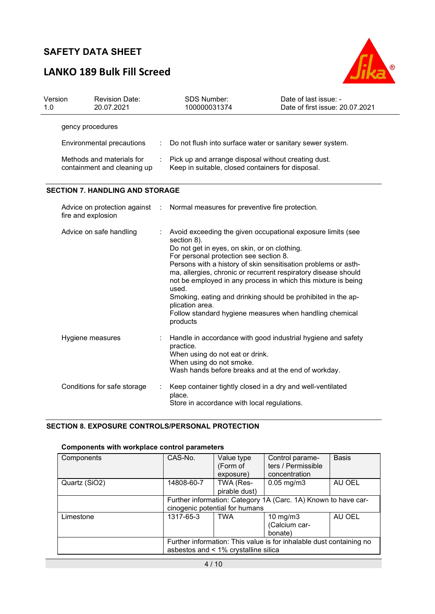# LANKO 189 Bulk Fill Screed



| Version<br>1.0 | <b>Revision Date:</b><br>20.07.2021                      |   | <b>SDS Number:</b><br>100000031374                                                                                                                                                                                                                                                                                                                                                                                                                                                                                                           | Date of last issue: -<br>Date of first issue: 20.07.2021 |
|----------------|----------------------------------------------------------|---|----------------------------------------------------------------------------------------------------------------------------------------------------------------------------------------------------------------------------------------------------------------------------------------------------------------------------------------------------------------------------------------------------------------------------------------------------------------------------------------------------------------------------------------------|----------------------------------------------------------|
|                | gency procedures                                         |   |                                                                                                                                                                                                                                                                                                                                                                                                                                                                                                                                              |                                                          |
|                | Environmental precautions                                |   | Do not flush into surface water or sanitary sewer system.                                                                                                                                                                                                                                                                                                                                                                                                                                                                                    |                                                          |
|                | Methods and materials for<br>containment and cleaning up |   | Pick up and arrange disposal without creating dust.<br>Keep in suitable, closed containers for disposal.                                                                                                                                                                                                                                                                                                                                                                                                                                     |                                                          |
|                | <b>SECTION 7. HANDLING AND STORAGE</b>                   |   |                                                                                                                                                                                                                                                                                                                                                                                                                                                                                                                                              |                                                          |
|                | Advice on protection against<br>fire and explosion       | ÷ | Normal measures for preventive fire protection.                                                                                                                                                                                                                                                                                                                                                                                                                                                                                              |                                                          |
|                | Advice on safe handling                                  |   | Avoid exceeding the given occupational exposure limits (see<br>section 8).<br>Do not get in eyes, on skin, or on clothing.<br>For personal protection see section 8.<br>Persons with a history of skin sensitisation problems or asth-<br>ma, allergies, chronic or recurrent respiratory disease should<br>not be employed in any process in which this mixture is being<br>used.<br>Smoking, eating and drinking should be prohibited in the ap-<br>plication area.<br>Follow standard hygiene measures when handling chemical<br>products |                                                          |
|                | Hygiene measures                                         |   | Handle in accordance with good industrial hygiene and safety<br>practice.<br>When using do not eat or drink.<br>When using do not smoke.<br>Wash hands before breaks and at the end of workday.                                                                                                                                                                                                                                                                                                                                              |                                                          |
|                | Conditions for safe storage                              |   | Keep container tightly closed in a dry and well-ventilated<br>place.<br>Store in accordance with local regulations.                                                                                                                                                                                                                                                                                                                                                                                                                          |                                                          |

### SECTION 8. EXPOSURE CONTROLS/PERSONAL PROTECTION

### Components with workplace control parameters

| Components    | CAS-No.                                                                                                     | Value type<br>(Form of<br>exposure) | Control parame-<br>ters / Permissible<br>concentration | <b>Basis</b> |
|---------------|-------------------------------------------------------------------------------------------------------------|-------------------------------------|--------------------------------------------------------|--------------|
| Quartz (SiO2) | 14808-60-7                                                                                                  | TWA (Res-<br>pirable dust)          | $0.05$ mg/m $3$                                        | AU OEL       |
|               | Further information: Category 1A (Carc. 1A) Known to have car-<br>cinogenic potential for humans            |                                     |                                                        |              |
| Limestone     | 1317-65-3                                                                                                   | <b>TWA</b>                          | 10 mg/m $3$<br>(Calcium car-<br>bonate)                | AU OEL       |
|               | Further information: This value is for inhalable dust containing no<br>asbestos and < 1% crystalline silica |                                     |                                                        |              |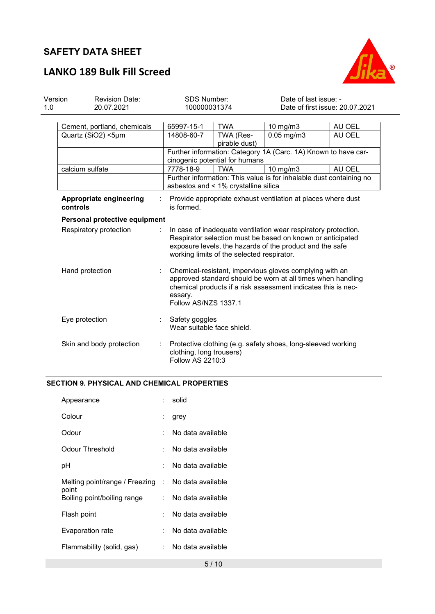

# LANKO 189 Bulk Fill Screed

| Version<br>1.0 | <b>Revision Date:</b><br>20.07.2021               | <b>SDS Number:</b><br>100000031374                                                                                                                                                                                                     |                                                              | Date of last issue: -<br>Date of first issue: 20.07.2021            |                  |  |
|----------------|---------------------------------------------------|----------------------------------------------------------------------------------------------------------------------------------------------------------------------------------------------------------------------------------------|--------------------------------------------------------------|---------------------------------------------------------------------|------------------|--|
|                | Cement, portland, chemicals<br>Quartz (SiO2) <5µm | 65997-15-1<br>14808-60-7                                                                                                                                                                                                               | <b>TWA</b><br>TWA (Res-<br>pirable dust)                     | 10 mg/m3<br>$0.05$ mg/m $3$                                         | AU OEL<br>AU OEL |  |
|                |                                                   |                                                                                                                                                                                                                                        | cinogenic potential for humans                               | Further information: Category 1A (Carc. 1A) Known to have car-      |                  |  |
|                | calcium sulfate                                   | 7778-18-9                                                                                                                                                                                                                              | <b>TWA</b>                                                   | 10 mg/m3                                                            | AU OEL           |  |
|                |                                                   |                                                                                                                                                                                                                                        | asbestos and < 1% crystalline silica                         | Further information: This value is for inhalable dust containing no |                  |  |
|                | Appropriate engineering<br>controls               | is formed.                                                                                                                                                                                                                             | Provide appropriate exhaust ventilation at places where dust |                                                                     |                  |  |
|                | Personal protective equipment                     |                                                                                                                                                                                                                                        |                                                              |                                                                     |                  |  |
|                | Respiratory protection                            | In case of inadequate ventilation wear respiratory protection.<br>Respirator selection must be based on known or anticipated<br>exposure levels, the hazards of the product and the safe<br>working limits of the selected respirator. |                                                              |                                                                     |                  |  |
|                | Hand protection                                   | Chemical-resistant, impervious gloves complying with an<br>approved standard should be worn at all times when handling<br>chemical products if a risk assessment indicates this is nec-<br>essary.<br>Follow AS/NZS 1337.1             |                                                              |                                                                     |                  |  |
| Eye protection |                                                   | Safety goggles<br>Wear suitable face shield.                                                                                                                                                                                           |                                                              |                                                                     |                  |  |
|                | Skin and body protection                          | Protective clothing (e.g. safety shoes, long-sleeved working<br>clothing, long trousers)<br><b>Follow AS 2210:3</b>                                                                                                                    |                                                              |                                                                     |                  |  |

### SECTION 9. PHYSICAL AND CHEMICAL PROPERTIES

| Appearance                                | solid             |
|-------------------------------------------|-------------------|
| Colour                                    | grey              |
| Odour                                     | No data available |
| Odour Threshold                           | No data available |
| рH                                        | No data available |
| Melting point/range / Freezing :<br>point | No data available |
| Boiling point/boiling range               | No data available |
| Flash point                               | No data available |
| Evaporation rate                          | No data available |
| Flammability (solid, gas)                 | No data available |
|                                           |                   |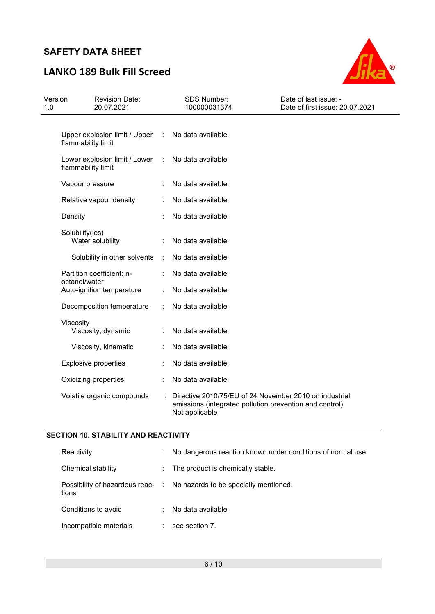# LANKO 189 Bulk Fill Screed



| Version<br>1.0 | <b>Revision Date:</b><br>20.07.2021                 |                      | SDS Number:<br>100000031374                                                                                                         | Date of last issue: -<br>Date of first issue: 20.07.2021 |
|----------------|-----------------------------------------------------|----------------------|-------------------------------------------------------------------------------------------------------------------------------------|----------------------------------------------------------|
|                | Upper explosion limit / Upper<br>flammability limit | $\ddot{\phantom{a}}$ | No data available                                                                                                                   |                                                          |
|                | Lower explosion limit / Lower<br>flammability limit | $\ddot{\phantom{a}}$ | No data available                                                                                                                   |                                                          |
|                | Vapour pressure                                     |                      | No data available                                                                                                                   |                                                          |
|                | Relative vapour density                             |                      | No data available                                                                                                                   |                                                          |
|                | Density                                             |                      | No data available                                                                                                                   |                                                          |
|                | Solubility(ies)<br>Water solubility                 |                      | No data available                                                                                                                   |                                                          |
|                | Solubility in other solvents                        | ÷                    | No data available                                                                                                                   |                                                          |
|                | Partition coefficient: n-<br>octanol/water          |                      | No data available                                                                                                                   |                                                          |
|                | Auto-ignition temperature                           |                      | No data available                                                                                                                   |                                                          |
|                | Decomposition temperature                           |                      | No data available                                                                                                                   |                                                          |
|                | Viscosity<br>Viscosity, dynamic                     |                      | No data available                                                                                                                   |                                                          |
|                | Viscosity, kinematic                                |                      | No data available                                                                                                                   |                                                          |
|                | <b>Explosive properties</b>                         |                      | No data available                                                                                                                   |                                                          |
|                | Oxidizing properties                                |                      | No data available                                                                                                                   |                                                          |
|                | Volatile organic compounds                          |                      | Directive 2010/75/EU of 24 November 2010 on industrial<br>emissions (integrated pollution prevention and control)<br>Not applicable |                                                          |

### SECTION 10. STABILITY AND REACTIVITY

| Reactivity             |    | No dangerous reaction known under conditions of normal use.            |
|------------------------|----|------------------------------------------------------------------------|
| Chemical stability     |    | : The product is chemically stable.                                    |
| tions                  |    | Possibility of hazardous reac- : No hazards to be specially mentioned. |
| Conditions to avoid    | ÷. | No data available                                                      |
| Incompatible materials |    | see section 7.                                                         |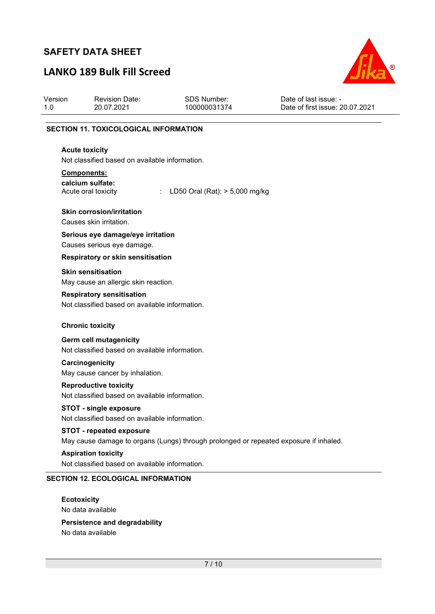# LANKO 189 Bulk Fill Screed



| Version<br>1.0 | <b>Revision Date:</b><br>20.07.2021                                                | <b>SDS Number:</b><br>100000031374                                                    | Date of last issue: -<br>Date of first issue: 20.07.2021 |
|----------------|------------------------------------------------------------------------------------|---------------------------------------------------------------------------------------|----------------------------------------------------------|
|                | <b>SECTION 11. TOXICOLOGICAL INFORMATION</b>                                       |                                                                                       |                                                          |
|                | <b>Acute toxicity</b>                                                              |                                                                                       |                                                          |
|                | Not classified based on available information.                                     |                                                                                       |                                                          |
|                | Components:                                                                        |                                                                                       |                                                          |
|                | calcium sulfate:<br>Acute oral toxicity<br>÷                                       | LD50 Oral (Rat): > 5,000 mg/kg                                                        |                                                          |
|                | <b>Skin corrosion/irritation</b>                                                   |                                                                                       |                                                          |
|                | Causes skin irritation.                                                            |                                                                                       |                                                          |
|                | Serious eye damage/eye irritation<br>Causes serious eye damage.                    |                                                                                       |                                                          |
|                | Respiratory or skin sensitisation                                                  |                                                                                       |                                                          |
|                | <b>Skin sensitisation</b>                                                          |                                                                                       |                                                          |
|                | May cause an allergic skin reaction.                                               |                                                                                       |                                                          |
|                | <b>Respiratory sensitisation</b><br>Not classified based on available information. |                                                                                       |                                                          |
|                | <b>Chronic toxicity</b>                                                            |                                                                                       |                                                          |
|                | Germ cell mutagenicity<br>Not classified based on available information.           |                                                                                       |                                                          |
|                | Carcinogenicity                                                                    |                                                                                       |                                                          |
|                | May cause cancer by inhalation.                                                    |                                                                                       |                                                          |
|                | <b>Reproductive toxicity</b><br>Not classified based on available information.     |                                                                                       |                                                          |
|                | STOT - single exposure<br>Not classified based on available information.           |                                                                                       |                                                          |
|                | <b>STOT - repeated exposure</b>                                                    | May cause damage to organs (Lungs) through prolonged or repeated exposure if inhaled. |                                                          |
|                | <b>Aspiration toxicity</b><br>Not classified based on available information.       |                                                                                       |                                                          |
|                | <b>SECTION 12. ECOLOGICAL INFORMATION</b>                                          |                                                                                       |                                                          |

No data available

Persistence and degradability No data available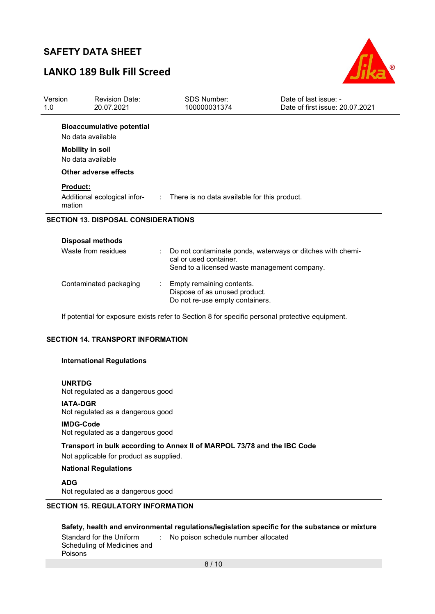# LANKO 189 Bulk Fill Screed



| Version<br>1.0            | <b>Revision Date:</b><br>20.07.2021                   | <b>SDS Number:</b><br>100000031374                                                            | Date of last issue: -<br>Date of first issue: 20.07.2021   |
|---------------------------|-------------------------------------------------------|-----------------------------------------------------------------------------------------------|------------------------------------------------------------|
|                           | <b>Bioaccumulative potential</b><br>No data available |                                                                                               |                                                            |
|                           | <b>Mobility in soil</b><br>No data available          |                                                                                               |                                                            |
|                           | Other adverse effects                                 |                                                                                               |                                                            |
| <b>Product:</b><br>mation |                                                       | Additional ecological infor- : There is no data available for this product.                   |                                                            |
|                           | <b>SECTION 13. DISPOSAL CONSIDERATIONS</b>            |                                                                                               |                                                            |
|                           | <b>Disposal methods</b>                               |                                                                                               |                                                            |
|                           | Waste from residues                                   | cal or used container.<br>Send to a licensed waste management company.                        | Do not contaminate ponds, waterways or ditches with chemi- |
|                           | Contaminated packaging                                | Empty remaining contents.<br>Dispose of as unused product.<br>Do not re-use empty containers. |                                                            |

If potential for exposure exists refer to Section 8 for specific personal protective equipment.

#### SECTION 14. TRANSPORT INFORMATION

#### International Regulations

#### UNRTDG

Not regulated as a dangerous good

#### IATA-DGR

Not regulated as a dangerous good

#### IMDG-Code

Not regulated as a dangerous good

### Transport in bulk according to Annex II of MARPOL 73/78 and the IBC Code

Not applicable for product as supplied.

#### National Regulations

ADG Not regulated as a dangerous good

### SECTION 15. REGULATORY INFORMATION

### Safety, health and environmental regulations/legislation specific for the substance or mixture

| Standard for the Uniform    | : No poison schedule number allocated |
|-----------------------------|---------------------------------------|
| Scheduling of Medicines and |                                       |
| Poisons                     |                                       |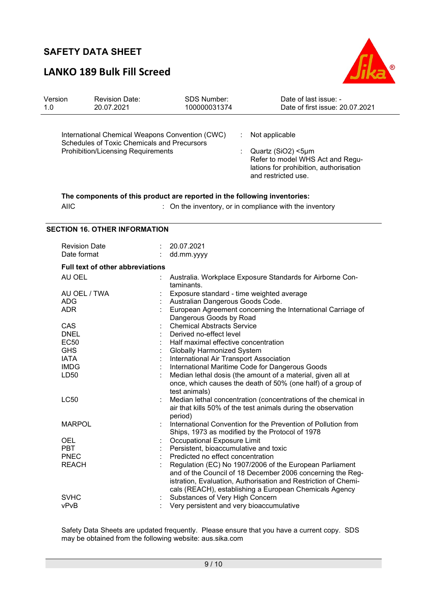# LANKO 189 Bulk Fill Screed



| Version<br>1.0 | <b>Revision Date:</b><br>20.07.2021                                                                                                         | SDS Number:<br>100000031374                                                                                                                                                                                                                                                                                                                                                             | Date of last issue: -<br>Date of first issue: 20.07.2021                                                                                                                                |  |
|----------------|---------------------------------------------------------------------------------------------------------------------------------------------|-----------------------------------------------------------------------------------------------------------------------------------------------------------------------------------------------------------------------------------------------------------------------------------------------------------------------------------------------------------------------------------------|-----------------------------------------------------------------------------------------------------------------------------------------------------------------------------------------|--|
|                | International Chemical Weapons Convention (CWC)<br>Schedules of Toxic Chemicals and Precursors<br><b>Prohibition/Licensing Requirements</b> | Not applicable<br>÷<br>Quartz (SiO2) <5µm<br>Refer to model WHS Act and Regu-<br>lations for prohibition, authorisation<br>and restricted use.                                                                                                                                                                                                                                          |                                                                                                                                                                                         |  |
|                | The components of this product are reported in the following inventories:<br><b>AIIC</b>                                                    |                                                                                                                                                                                                                                                                                                                                                                                         | : On the inventory, or in compliance with the inventory                                                                                                                                 |  |
|                | <b>SECTION 16. OTHER INFORMATION</b>                                                                                                        |                                                                                                                                                                                                                                                                                                                                                                                         |                                                                                                                                                                                         |  |
|                | <b>Revision Date</b><br>Date format                                                                                                         | 20.07.2021<br>dd.mm.yyyy                                                                                                                                                                                                                                                                                                                                                                |                                                                                                                                                                                         |  |
|                | <b>Full text of other abbreviations</b>                                                                                                     |                                                                                                                                                                                                                                                                                                                                                                                         |                                                                                                                                                                                         |  |
|                | AU OEL                                                                                                                                      |                                                                                                                                                                                                                                                                                                                                                                                         | Australia. Workplace Exposure Standards for Airborne Con-                                                                                                                               |  |
|                | AU OEL / TWA<br><b>ADG</b><br><b>ADR</b>                                                                                                    | taminants.<br>Exposure standard - time weighted average<br>Australian Dangerous Goods Code.<br>European Agreement concerning the International Carriage of<br>Dangerous Goods by Road                                                                                                                                                                                                   |                                                                                                                                                                                         |  |
|                | CAS<br><b>DNEL</b><br><b>EC50</b><br><b>GHS</b><br><b>IATA</b><br><b>IMDG</b><br>LD <sub>50</sub>                                           | <b>Chemical Abstracts Service</b><br>Derived no-effect level<br>Half maximal effective concentration<br><b>Globally Harmonized System</b><br>International Air Transport Association<br>International Maritime Code for Dangerous Goods<br>Median lethal dosis (the amount of a material, given all at<br>once, which causes the death of 50% (one half) of a group of<br>test animals) |                                                                                                                                                                                         |  |
|                | <b>LC50</b>                                                                                                                                 | Median lethal concentration (concentrations of the chemical in<br>air that kills 50% of the test animals during the observation<br>period)                                                                                                                                                                                                                                              |                                                                                                                                                                                         |  |
|                | <b>MARPOL</b>                                                                                                                               | International Convention for the Prevention of Pollution from<br>Ships, 1973 as modified by the Protocol of 1978                                                                                                                                                                                                                                                                        |                                                                                                                                                                                         |  |
|                | <b>OEL</b><br><b>PBT</b><br><b>PNEC</b><br><b>REACH</b>                                                                                     | Occupational Exposure Limit<br>Persistent, bioaccumulative and toxic<br>Predicted no effect concentration                                                                                                                                                                                                                                                                               | Regulation (EC) No 1907/2006 of the European Parliament<br>and of the Council of 18 December 2006 concerning the Reg-<br>istration, Evaluation, Authorisation and Restriction of Chemi- |  |
|                | <b>SVHC</b><br>vPvB                                                                                                                         | Substances of Very High Concern<br>Very persistent and very bioaccumulative                                                                                                                                                                                                                                                                                                             | cals (REACH), establishing a European Chemicals Agency                                                                                                                                  |  |

Safety Data Sheets are updated frequently. Please ensure that you have a current copy. SDS may be obtained from the following website: aus.sika.com